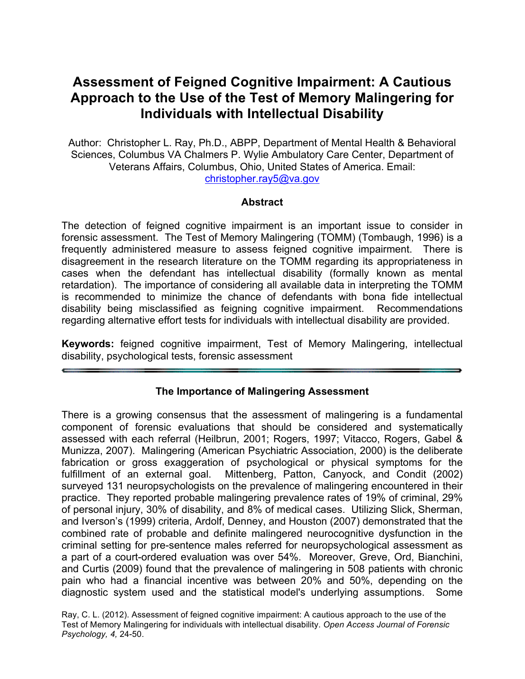# **Assessment of Feigned Cognitive Impairment: A Cautious Approach to the Use of the Test of Memory Malingering for Individuals with Intellectual Disability**

Author: Christopher L. Ray, Ph.D., ABPP, Department of Mental Health & Behavioral Sciences, Columbus VA Chalmers P. Wylie Ambulatory Care Center, Department of Veterans Affairs, Columbus, Ohio, United States of America. Email: christopher.ray5@va.gov

## **Abstract**

The detection of feigned cognitive impairment is an important issue to consider in forensic assessment. The Test of Memory Malingering (TOMM) (Tombaugh, 1996) is a frequently administered measure to assess feigned cognitive impairment. There is disagreement in the research literature on the TOMM regarding its appropriateness in cases when the defendant has intellectual disability (formally known as mental retardation). The importance of considering all available data in interpreting the TOMM is recommended to minimize the chance of defendants with bona fide intellectual disability being misclassified as feigning cognitive impairment. Recommendations regarding alternative effort tests for individuals with intellectual disability are provided.

**Keywords:** feigned cognitive impairment, Test of Memory Malingering, intellectual disability, psychological tests, forensic assessment

## **The Importance of Malingering Assessment**

There is a growing consensus that the assessment of malingering is a fundamental component of forensic evaluations that should be considered and systematically assessed with each referral (Heilbrun, 2001; Rogers, 1997; Vitacco, Rogers, Gabel & Munizza, 2007). Malingering (American Psychiatric Association, 2000) is the deliberate fabrication or gross exaggeration of psychological or physical symptoms for the fulfillment of an external goal. Mittenberg, Patton, Canyock, and Condit (2002) surveyed 131 neuropsychologists on the prevalence of malingering encountered in their practice. They reported probable malingering prevalence rates of 19% of criminal, 29% of personal injury, 30% of disability, and 8% of medical cases. Utilizing Slick, Sherman, and Iverson's (1999) criteria, Ardolf, Denney, and Houston (2007) demonstrated that the combined rate of probable and definite malingered neurocognitive dysfunction in the criminal setting for pre-sentence males referred for neuropsychological assessment as a part of a court-ordered evaluation was over 54%. Moreover, Greve, Ord, Bianchini, and Curtis (2009) found that the prevalence of malingering in 508 patients with chronic pain who had a financial incentive was between 20% and 50%, depending on the diagnostic system used and the statistical model's underlying assumptions. Some

Ray, C. L. (2012). Assessment of feigned cognitive impairment: A cautious approach to the use of the Test of Memory Malingering for individuals with intellectual disability. *Open Access Journal of Forensic Psychology, 4,* 24-50.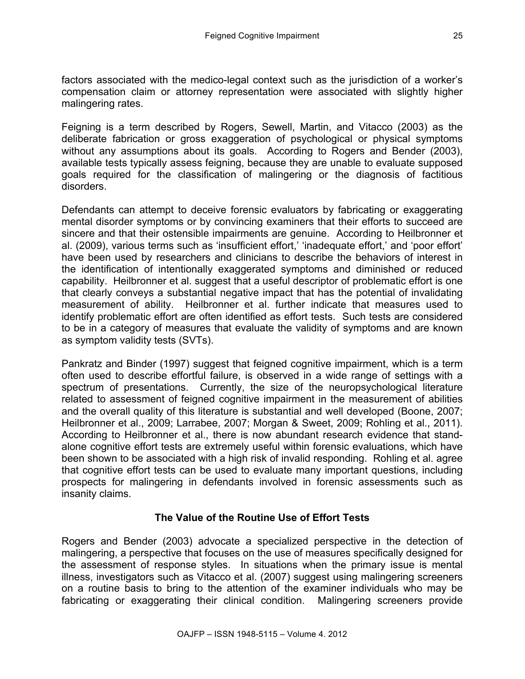factors associated with the medico-legal context such as the jurisdiction of a worker's compensation claim or attorney representation were associated with slightly higher malingering rates.

Feigning is a term described by Rogers, Sewell, Martin, and Vitacco (2003) as the deliberate fabrication or gross exaggeration of psychological or physical symptoms without any assumptions about its goals. According to Rogers and Bender (2003), available tests typically assess feigning, because they are unable to evaluate supposed goals required for the classification of malingering or the diagnosis of factitious disorders.

Defendants can attempt to deceive forensic evaluators by fabricating or exaggerating mental disorder symptoms or by convincing examiners that their efforts to succeed are sincere and that their ostensible impairments are genuine. According to Heilbronner et al. (2009), various terms such as 'insufficient effort,' 'inadequate effort,' and 'poor effort' have been used by researchers and clinicians to describe the behaviors of interest in the identification of intentionally exaggerated symptoms and diminished or reduced capability. Heilbronner et al. suggest that a useful descriptor of problematic effort is one that clearly conveys a substantial negative impact that has the potential of invalidating measurement of ability. Heilbronner et al. further indicate that measures used to identify problematic effort are often identified as effort tests. Such tests are considered to be in a category of measures that evaluate the validity of symptoms and are known as symptom validity tests (SVTs).

Pankratz and Binder (1997) suggest that feigned cognitive impairment, which is a term often used to describe effortful failure, is observed in a wide range of settings with a spectrum of presentations. Currently, the size of the neuropsychological literature related to assessment of feigned cognitive impairment in the measurement of abilities and the overall quality of this literature is substantial and well developed (Boone, 2007; Heilbronner et al., 2009; Larrabee, 2007; Morgan & Sweet, 2009; Rohling et al., 2011). According to Heilbronner et al., there is now abundant research evidence that standalone cognitive effort tests are extremely useful within forensic evaluations, which have been shown to be associated with a high risk of invalid responding. Rohling et al. agree that cognitive effort tests can be used to evaluate many important questions, including prospects for malingering in defendants involved in forensic assessments such as insanity claims.

# **The Value of the Routine Use of Effort Tests**

Rogers and Bender (2003) advocate a specialized perspective in the detection of malingering, a perspective that focuses on the use of measures specifically designed for the assessment of response styles. In situations when the primary issue is mental illness, investigators such as Vitacco et al. (2007) suggest using malingering screeners on a routine basis to bring to the attention of the examiner individuals who may be fabricating or exaggerating their clinical condition. Malingering screeners provide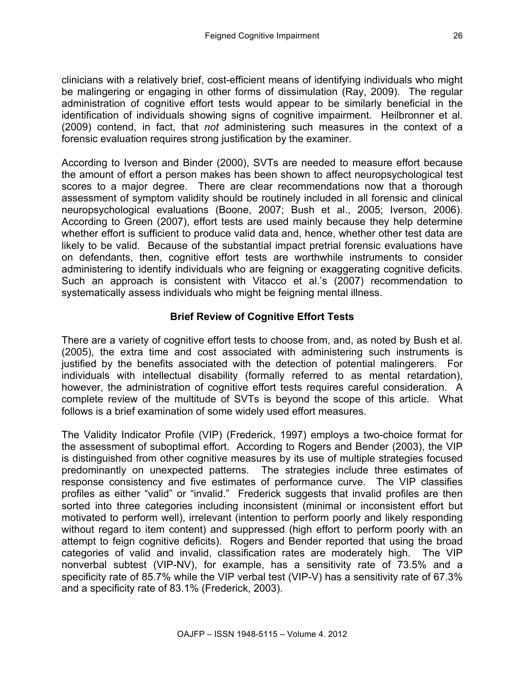clinicians with a relatively brief, cost-efficient means of identifying individuals who might be malingering or engaging in other forms of dissimulation (Ray, 2009). The regular administration of cognitive effort tests would appear to be similarly beneficial in the identification of individuals showing signs of cognitive impairment. Heilbronner et al. (2009) contend, in fact, that *not* administering such measures in the context of a forensic evaluation requires strong justification by the examiner.

According to Iverson and Binder (2000), SVTs are needed to measure effort because the amount of effort a person makes has been shown to affect neuropsychological test scores to a major degree. There are clear recommendations now that a thorough assessment of symptom validity should be routinely included in all forensic and clinical neuropsychological evaluations (Boone, 2007; Bush et al., 2005; Iverson, 2006). According to Green (2007), effort tests are used mainly because they help determine whether effort is sufficient to produce valid data and, hence, whether other test data are likely to be valid. Because of the substantial impact pretrial forensic evaluations have on defendants, then, cognitive effort tests are worthwhile instruments to consider administering to identify individuals who are feigning or exaggerating cognitive deficits. Such an approach is consistent with Vitacco et al.'s (2007) recommendation to systematically assess individuals who might be feigning mental illness.

# **Brief Review of Cognitive Effort Tests**

There are a variety of cognitive effort tests to choose from, and, as noted by Bush et al. (2005), the extra time and cost associated with administering such instruments is justified by the benefits associated with the detection of potential malingerers. For individuals with intellectual disability (formally referred to as mental retardation), however, the administration of cognitive effort tests requires careful consideration. A complete review of the multitude of SVTs is beyond the scope of this article. What follows is a brief examination of some widely used effort measures.

The Validity Indicator Profile (VIP) (Frederick, 1997) employs a two-choice format for the assessment of suboptimal effort. According to Rogers and Bender (2003), the VIP is distinguished from other cognitive measures by its use of multiple strategies focused predominantly on unexpected patterns. The strategies include three estimates of response consistency and five estimates of performance curve. The VIP classifies profiles as either "valid" or "invalid." Frederick suggests that invalid profiles are then sorted into three categories including inconsistent (minimal or inconsistent effort but motivated to perform well), irrelevant (intention to perform poorly and likely responding without regard to item content) and suppressed (high effort to perform poorly with an attempt to feign cognitive deficits). Rogers and Bender reported that using the broad categories of valid and invalid, classification rates are moderately high. The VIP nonverbal subtest (VIP-NV), for example, has a sensitivity rate of 73.5% and a specificity rate of 85.7% while the VIP verbal test (VIP-V) has a sensitivity rate of 67.3% and a specificity rate of 83.1% (Frederick, 2003).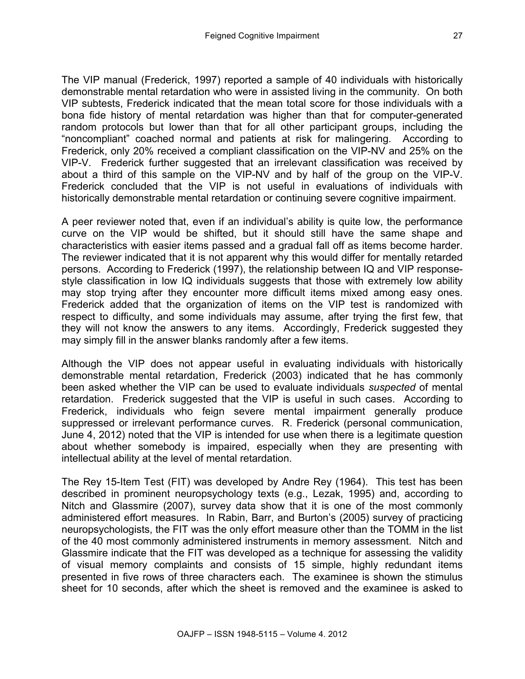The VIP manual (Frederick, 1997) reported a sample of 40 individuals with historically demonstrable mental retardation who were in assisted living in the community. On both VIP subtests, Frederick indicated that the mean total score for those individuals with a bona fide history of mental retardation was higher than that for computer-generated random protocols but lower than that for all other participant groups, including the "noncompliant" coached normal and patients at risk for malingering. According to Frederick, only 20% received a compliant classification on the VIP-NV and 25% on the VIP-V. Frederick further suggested that an irrelevant classification was received by about a third of this sample on the VIP-NV and by half of the group on the VIP-V. Frederick concluded that the VIP is not useful in evaluations of individuals with historically demonstrable mental retardation or continuing severe cognitive impairment.

A peer reviewer noted that, even if an individual's ability is quite low, the performance curve on the VIP would be shifted, but it should still have the same shape and characteristics with easier items passed and a gradual fall off as items become harder. The reviewer indicated that it is not apparent why this would differ for mentally retarded persons. According to Frederick (1997), the relationship between IQ and VIP responsestyle classification in low IQ individuals suggests that those with extremely low ability may stop trying after they encounter more difficult items mixed among easy ones. Frederick added that the organization of items on the VIP test is randomized with respect to difficulty, and some individuals may assume, after trying the first few, that they will not know the answers to any items. Accordingly, Frederick suggested they may simply fill in the answer blanks randomly after a few items.

Although the VIP does not appear useful in evaluating individuals with historically demonstrable mental retardation, Frederick (2003) indicated that he has commonly been asked whether the VIP can be used to evaluate individuals *suspected* of mental retardation. Frederick suggested that the VIP is useful in such cases. According to Frederick, individuals who feign severe mental impairment generally produce suppressed or irrelevant performance curves. R. Frederick (personal communication, June 4, 2012) noted that the VIP is intended for use when there is a legitimate question about whether somebody is impaired, especially when they are presenting with intellectual ability at the level of mental retardation.

The Rey 15-Item Test (FIT) was developed by Andre Rey (1964). This test has been described in prominent neuropsychology texts (e.g., Lezak, 1995) and, according to Nitch and Glassmire (2007), survey data show that it is one of the most commonly administered effort measures. In Rabin, Barr, and Burton's (2005) survey of practicing neuropsychologists, the FIT was the only effort measure other than the TOMM in the list of the 40 most commonly administered instruments in memory assessment. Nitch and Glassmire indicate that the FIT was developed as a technique for assessing the validity of visual memory complaints and consists of 15 simple, highly redundant items presented in five rows of three characters each. The examinee is shown the stimulus sheet for 10 seconds, after which the sheet is removed and the examinee is asked to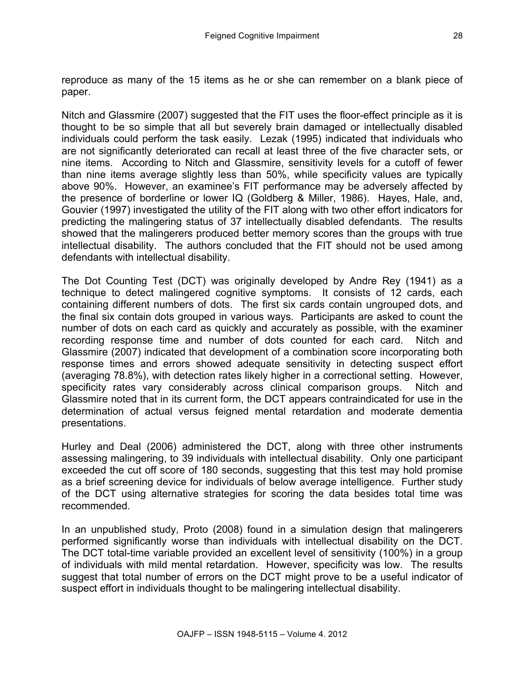Nitch and Glassmire (2007) suggested that the FIT uses the floor-effect principle as it is thought to be so simple that all but severely brain damaged or intellectually disabled individuals could perform the task easily. Lezak (1995) indicated that individuals who are not significantly deteriorated can recall at least three of the five character sets, or nine items. According to Nitch and Glassmire, sensitivity levels for a cutoff of fewer than nine items average slightly less than 50%, while specificity values are typically above 90%. However, an examinee's FIT performance may be adversely affected by the presence of borderline or lower IQ (Goldberg & Miller, 1986). Hayes, Hale, and, Gouvier (1997) investigated the utility of the FIT along with two other effort indicators for predicting the malingering status of 37 intellectually disabled defendants. The results showed that the malingerers produced better memory scores than the groups with true intellectual disability. The authors concluded that the FIT should not be used among defendants with intellectual disability.

The Dot Counting Test (DCT) was originally developed by Andre Rey (1941) as a technique to detect malingered cognitive symptoms. It consists of 12 cards, each containing different numbers of dots. The first six cards contain ungrouped dots, and the final six contain dots grouped in various ways. Participants are asked to count the number of dots on each card as quickly and accurately as possible, with the examiner recording response time and number of dots counted for each card. Nitch and Glassmire (2007) indicated that development of a combination score incorporating both response times and errors showed adequate sensitivity in detecting suspect effort (averaging 78.8%), with detection rates likely higher in a correctional setting. However, specificity rates vary considerably across clinical comparison groups. Nitch and Glassmire noted that in its current form, the DCT appears contraindicated for use in the determination of actual versus feigned mental retardation and moderate dementia presentations.

Hurley and Deal (2006) administered the DCT, along with three other instruments assessing malingering, to 39 individuals with intellectual disability. Only one participant exceeded the cut off score of 180 seconds, suggesting that this test may hold promise as a brief screening device for individuals of below average intelligence. Further study of the DCT using alternative strategies for scoring the data besides total time was recommended.

In an unpublished study, Proto (2008) found in a simulation design that malingerers performed significantly worse than individuals with intellectual disability on the DCT. The DCT total-time variable provided an excellent level of sensitivity (100%) in a group of individuals with mild mental retardation. However, specificity was low. The results suggest that total number of errors on the DCT might prove to be a useful indicator of suspect effort in individuals thought to be malingering intellectual disability.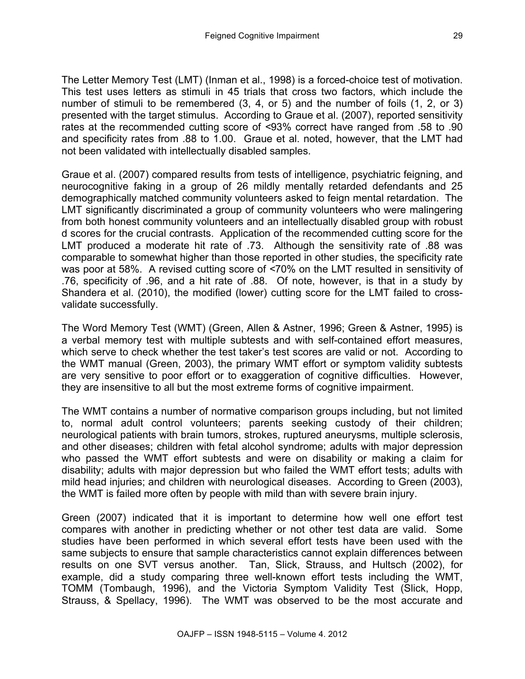The Letter Memory Test (LMT) (Inman et al., 1998) is a forced-choice test of motivation. This test uses letters as stimuli in 45 trials that cross two factors, which include the number of stimuli to be remembered (3, 4, or 5) and the number of foils (1, 2, or 3) presented with the target stimulus. According to Graue et al. (2007), reported sensitivity rates at the recommended cutting score of *<*93% correct have ranged from .58 to .90 and specificity rates from .88 to 1.00. Graue et al. noted, however, that the LMT had not been validated with intellectually disabled samples.

Graue et al. (2007) compared results from tests of intelligence, psychiatric feigning, and neurocognitive faking in a group of 26 mildly mentally retarded defendants and 25 demographically matched community volunteers asked to feign mental retardation. The LMT significantly discriminated a group of community volunteers who were malingering from both honest community volunteers and an intellectually disabled group with robust d scores for the crucial contrasts. Application of the recommended cutting score for the LMT produced a moderate hit rate of .73. Although the sensitivity rate of .88 was comparable to somewhat higher than those reported in other studies, the specificity rate was poor at 58%. A revised cutting score of *<*70% on the LMT resulted in sensitivity of .76, specificity of .96, and a hit rate of .88. Of note, however, is that in a study by Shandera et al. (2010), the modified (lower) cutting score for the LMT failed to crossvalidate successfully.

The Word Memory Test (WMT) (Green, Allen & Astner, 1996; Green & Astner, 1995) is a verbal memory test with multiple subtests and with self-contained effort measures, which serve to check whether the test taker's test scores are valid or not. According to the WMT manual (Green, 2003), the primary WMT effort or symptom validity subtests are very sensitive to poor effort or to exaggeration of cognitive difficulties. However, they are insensitive to all but the most extreme forms of cognitive impairment.

The WMT contains a number of normative comparison groups including, but not limited to, normal adult control volunteers; parents seeking custody of their children; neurological patients with brain tumors, strokes, ruptured aneurysms, multiple sclerosis, and other diseases; children with fetal alcohol syndrome; adults with major depression who passed the WMT effort subtests and were on disability or making a claim for disability; adults with major depression but who failed the WMT effort tests; adults with mild head injuries; and children with neurological diseases. According to Green (2003), the WMT is failed more often by people with mild than with severe brain injury.

Green (2007) indicated that it is important to determine how well one effort test compares with another in predicting whether or not other test data are valid. Some studies have been performed in which several effort tests have been used with the same subjects to ensure that sample characteristics cannot explain differences between results on one SVT versus another. Tan, Slick, Strauss, and Hultsch (2002), for example, did a study comparing three well-known effort tests including the WMT, TOMM (Tombaugh, 1996), and the Victoria Symptom Validity Test (Slick, Hopp, Strauss, & Spellacy, 1996). The WMT was observed to be the most accurate and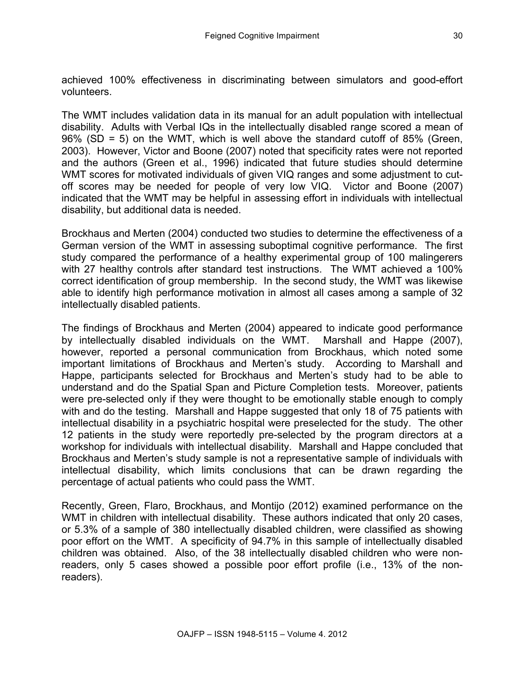achieved 100% effectiveness in discriminating between simulators and good-effort volunteers.

The WMT includes validation data in its manual for an adult population with intellectual disability. Adults with Verbal IQs in the intellectually disabled range scored a mean of 96% (SD = 5) on the WMT, which is well above the standard cutoff of 85% (Green, 2003). However, Victor and Boone (2007) noted that specificity rates were not reported and the authors (Green et al., 1996) indicated that future studies should determine WMT scores for motivated individuals of given VIQ ranges and some adjustment to cutoff scores may be needed for people of very low VIQ. Victor and Boone (2007) indicated that the WMT may be helpful in assessing effort in individuals with intellectual disability, but additional data is needed.

Brockhaus and Merten (2004) conducted two studies to determine the effectiveness of a German version of the WMT in assessing suboptimal cognitive performance. The first study compared the performance of a healthy experimental group of 100 malingerers with 27 healthy controls after standard test instructions. The WMT achieved a 100% correct identification of group membership. In the second study, the WMT was likewise able to identify high performance motivation in almost all cases among a sample of 32 intellectually disabled patients.

The findings of Brockhaus and Merten (2004) appeared to indicate good performance by intellectually disabled individuals on the WMT. Marshall and Happe (2007), however, reported a personal communication from Brockhaus, which noted some important limitations of Brockhaus and Merten's study. According to Marshall and Happe, participants selected for Brockhaus and Merten's study had to be able to understand and do the Spatial Span and Picture Completion tests. Moreover, patients were pre-selected only if they were thought to be emotionally stable enough to comply with and do the testing. Marshall and Happe suggested that only 18 of 75 patients with intellectual disability in a psychiatric hospital were preselected for the study. The other 12 patients in the study were reportedly pre-selected by the program directors at a workshop for individuals with intellectual disability. Marshall and Happe concluded that Brockhaus and Merten's study sample is not a representative sample of individuals with intellectual disability, which limits conclusions that can be drawn regarding the percentage of actual patients who could pass the WMT.

Recently, Green, Flaro, Brockhaus, and Montijo (2012) examined performance on the WMT in children with intellectual disability. These authors indicated that only 20 cases, or 5.3% of a sample of 380 intellectually disabled children, were classified as showing poor effort on the WMT. A specificity of 94.7% in this sample of intellectually disabled children was obtained. Also, of the 38 intellectually disabled children who were nonreaders, only 5 cases showed a possible poor effort profile (i.e., 13% of the nonreaders).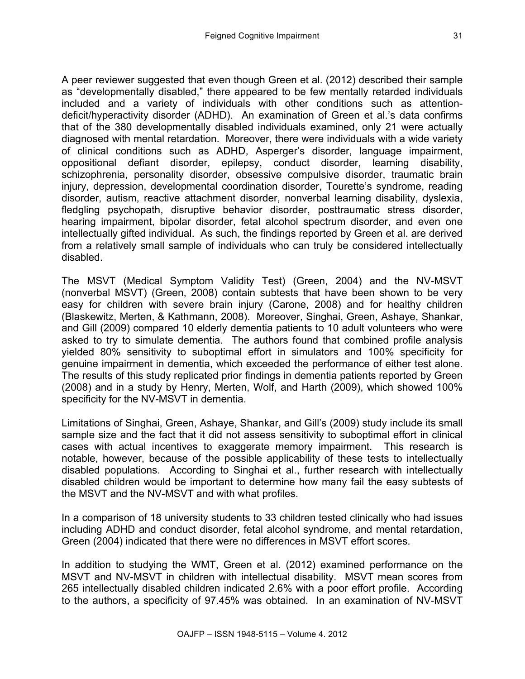A peer reviewer suggested that even though Green et al. (2012) described their sample as "developmentally disabled," there appeared to be few mentally retarded individuals included and a variety of individuals with other conditions such as attentiondeficit/hyperactivity disorder (ADHD). An examination of Green et al.'s data confirms that of the 380 developmentally disabled individuals examined, only 21 were actually diagnosed with mental retardation. Moreover, there were individuals with a wide variety of clinical conditions such as ADHD, Asperger's disorder, language impairment, oppositional defiant disorder, epilepsy, conduct disorder, learning disability, schizophrenia, personality disorder, obsessive compulsive disorder, traumatic brain injury, depression, developmental coordination disorder, Tourette's syndrome, reading disorder, autism, reactive attachment disorder, nonverbal learning disability, dyslexia, fledgling psychopath, disruptive behavior disorder, posttraumatic stress disorder, hearing impairment, bipolar disorder, fetal alcohol spectrum disorder, and even one intellectually gifted individual. As such, the findings reported by Green et al. are derived from a relatively small sample of individuals who can truly be considered intellectually disabled.

The MSVT (Medical Symptom Validity Test) (Green, 2004) and the NV-MSVT (nonverbal MSVT) (Green, 2008) contain subtests that have been shown to be very easy for children with severe brain injury (Carone, 2008) and for healthy children (Blaskewitz, Merten, & Kathmann, 2008). Moreover, Singhai, Green, Ashaye, Shankar, and Gill (2009) compared 10 elderly dementia patients to 10 adult volunteers who were asked to try to simulate dementia. The authors found that combined profile analysis yielded 80% sensitivity to suboptimal effort in simulators and 100% specificity for genuine impairment in dementia, which exceeded the performance of either test alone. The results of this study replicated prior findings in dementia patients reported by Green (2008) and in a study by Henry, Merten, Wolf, and Harth (2009), which showed 100% specificity for the NV-MSVT in dementia.

Limitations of Singhai, Green, Ashaye, Shankar, and Gill's (2009) study include its small sample size and the fact that it did not assess sensitivity to suboptimal effort in clinical cases with actual incentives to exaggerate memory impairment. This research is notable, however, because of the possible applicability of these tests to intellectually disabled populations. According to Singhai et al., further research with intellectually disabled children would be important to determine how many fail the easy subtests of the MSVT and the NV-MSVT and with what profiles.

In a comparison of 18 university students to 33 children tested clinically who had issues including ADHD and conduct disorder, fetal alcohol syndrome, and mental retardation, Green (2004) indicated that there were no differences in MSVT effort scores.

In addition to studying the WMT, Green et al. (2012) examined performance on the MSVT and NV-MSVT in children with intellectual disability. MSVT mean scores from 265 intellectually disabled children indicated 2.6% with a poor effort profile. According to the authors, a specificity of 97.45% was obtained. In an examination of NV-MSVT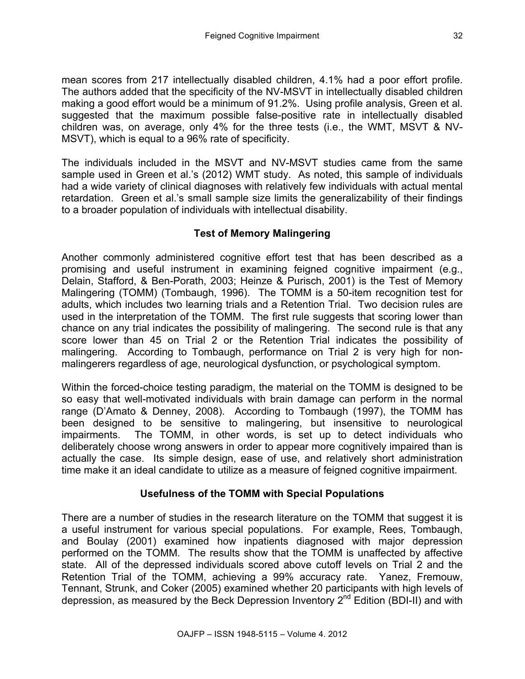mean scores from 217 intellectually disabled children, 4.1% had a poor effort profile. The authors added that the specificity of the NV-MSVT in intellectually disabled children making a good effort would be a minimum of 91.2%. Using profile analysis, Green et al. suggested that the maximum possible false-positive rate in intellectually disabled children was, on average, only 4% for the three tests (i.e., the WMT, MSVT & NV-MSVT), which is equal to a 96% rate of specificity.

The individuals included in the MSVT and NV-MSVT studies came from the same sample used in Green et al.'s (2012) WMT study. As noted, this sample of individuals had a wide variety of clinical diagnoses with relatively few individuals with actual mental retardation. Green et al.'s small sample size limits the generalizability of their findings to a broader population of individuals with intellectual disability.

# **Test of Memory Malingering**

Another commonly administered cognitive effort test that has been described as a promising and useful instrument in examining feigned cognitive impairment (e.g., Delain, Stafford, & Ben-Porath, 2003; Heinze & Purisch, 2001) is the Test of Memory Malingering (TOMM) (Tombaugh, 1996). The TOMM is a 50-item recognition test for adults, which includes two learning trials and a Retention Trial. Two decision rules are used in the interpretation of the TOMM. The first rule suggests that scoring lower than chance on any trial indicates the possibility of malingering. The second rule is that any score lower than 45 on Trial 2 or the Retention Trial indicates the possibility of malingering. According to Tombaugh, performance on Trial 2 is very high for nonmalingerers regardless of age, neurological dysfunction, or psychological symptom.

Within the forced-choice testing paradigm, the material on the TOMM is designed to be so easy that well-motivated individuals with brain damage can perform in the normal range (D'Amato & Denney, 2008). According to Tombaugh (1997), the TOMM has been designed to be sensitive to malingering, but insensitive to neurological impairments. The TOMM, in other words, is set up to detect individuals who deliberately choose wrong answers in order to appear more cognitively impaired than is actually the case. Its simple design, ease of use, and relatively short administration time make it an ideal candidate to utilize as a measure of feigned cognitive impairment.

# **Usefulness of the TOMM with Special Populations**

There are a number of studies in the research literature on the TOMM that suggest it is a useful instrument for various special populations. For example, Rees, Tombaugh, and Boulay (2001) examined how inpatients diagnosed with major depression performed on the TOMM. The results show that the TOMM is unaffected by affective state. All of the depressed individuals scored above cutoff levels on Trial 2 and the Retention Trial of the TOMM, achieving a 99% accuracy rate. Yanez, Fremouw, Tennant, Strunk, and Coker (2005) examined whether 20 participants with high levels of depression, as measured by the Beck Depression Inventory 2nd Edition (BDI-II) and with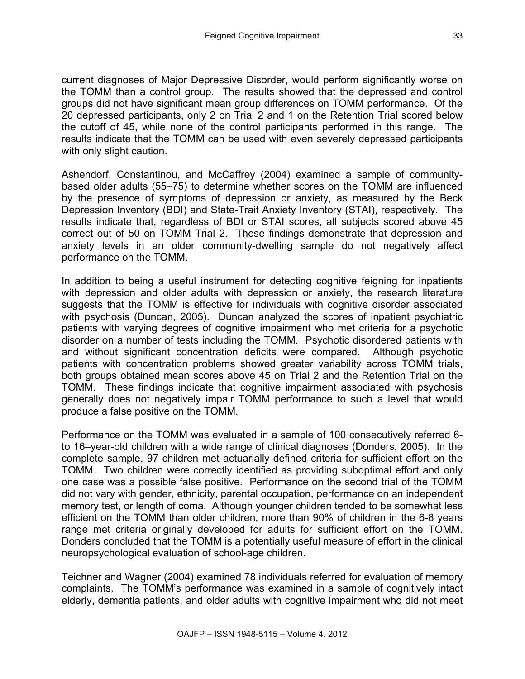current diagnoses of Major Depressive Disorder, would perform significantly worse on the TOMM than a control group. The results showed that the depressed and control groups did not have significant mean group differences on TOMM performance. Of the 20 depressed participants, only 2 on Trial 2 and 1 on the Retention Trial scored below the cutoff of 45, while none of the control participants performed in this range. The results indicate that the TOMM can be used with even severely depressed participants with only slight caution.

Ashendorf, Constantinou, and McCaffrey (2004) examined a sample of communitybased older adults (55–75) to determine whether scores on the TOMM are influenced by the presence of symptoms of depression or anxiety, as measured by the Beck Depression Inventory (BDI) and State-Trait Anxiety Inventory (STAI), respectively. The results indicate that, regardless of BDI or STAI scores, all subjects scored above 45 correct out of 50 on TOMM Trial 2. These findings demonstrate that depression and anxiety levels in an older community-dwelling sample do not negatively affect performance on the TOMM.

In addition to being a useful instrument for detecting cognitive feigning for inpatients with depression and older adults with depression or anxiety, the research literature suggests that the TOMM is effective for individuals with cognitive disorder associated with psychosis (Duncan, 2005). Duncan analyzed the scores of inpatient psychiatric patients with varying degrees of cognitive impairment who met criteria for a psychotic disorder on a number of tests including the TOMM. Psychotic disordered patients with and without significant concentration deficits were compared. Although psychotic patients with concentration problems showed greater variability across TOMM trials, both groups obtained mean scores above 45 on Trial 2 and the Retention Trial on the TOMM. These findings indicate that cognitive impairment associated with psychosis generally does not negatively impair TOMM performance to such a level that would produce a false positive on the TOMM.

Performance on the TOMM was evaluated in a sample of 100 consecutively referred 6 to 16–year-old children with a wide range of clinical diagnoses (Donders, 2005). In the complete sample, 97 children met actuarially defined criteria for sufficient effort on the TOMM. Two children were correctly identified as providing suboptimal effort and only one case was a possible false positive. Performance on the second trial of the TOMM did not vary with gender, ethnicity, parental occupation, performance on an independent memory test, or length of coma. Although younger children tended to be somewhat less efficient on the TOMM than older children, more than 90% of children in the 6-8 years range met criteria originally developed for adults for sufficient effort on the TOMM. Donders concluded that the TOMM is a potentially useful measure of effort in the clinical neuropsychological evaluation of school-age children.

Teichner and Wagner (2004) examined 78 individuals referred for evaluation of memory complaints. The TOMM's performance was examined in a sample of cognitively intact elderly, dementia patients, and older adults with cognitive impairment who did not meet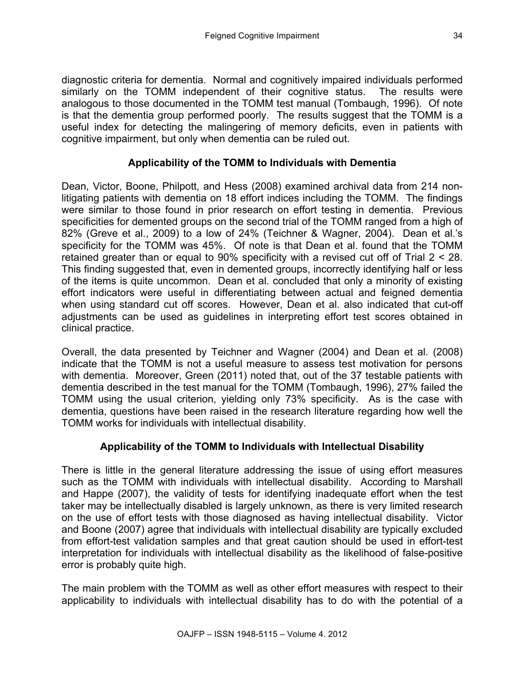diagnostic criteria for dementia. Normal and cognitively impaired individuals performed similarly on the TOMM independent of their cognitive status. The results were analogous to those documented in the TOMM test manual (Tombaugh, 1996). Of note is that the dementia group performed poorly. The results suggest that the TOMM is a useful index for detecting the malingering of memory deficits, even in patients with cognitive impairment, but only when dementia can be ruled out.

# **Applicability of the TOMM to Individuals with Dementia**

Dean, Victor, Boone, Philpott, and Hess (2008) examined archival data from 214 nonlitigating patients with dementia on 18 effort indices including the TOMM. The findings were similar to those found in prior research on effort testing in dementia. Previous specificities for demented groups on the second trial of the TOMM ranged from a high of 82% (Greve et al., 2009) to a low of 24% (Teichner & Wagner, 2004). Dean et al.'s specificity for the TOMM was 45%. Of note is that Dean et al. found that the TOMM retained greater than or equal to 90% specificity with a revised cut off of Trial 2 < 28. This finding suggested that, even in demented groups, incorrectly identifying half or less of the items is quite uncommon. Dean et al. concluded that only a minority of existing effort indicators were useful in differentiating between actual and feigned dementia when using standard cut off scores. However, Dean et al. also indicated that cut-off adjustments can be used as guidelines in interpreting effort test scores obtained in clinical practice.

Overall, the data presented by Teichner and Wagner (2004) and Dean et al. (2008) indicate that the TOMM is not a useful measure to assess test motivation for persons with dementia. Moreover, Green (2011) noted that, out of the 37 testable patients with dementia described in the test manual for the TOMM (Tombaugh, 1996), 27% failed the TOMM using the usual criterion, yielding only 73% specificity. As is the case with dementia, questions have been raised in the research literature regarding how well the TOMM works for individuals with intellectual disability.

# **Applicability of the TOMM to Individuals with Intellectual Disability**

There is little in the general literature addressing the issue of using effort measures such as the TOMM with individuals with intellectual disability. According to Marshall and Happe (2007), the validity of tests for identifying inadequate effort when the test taker may be intellectually disabled is largely unknown, as there is very limited research on the use of effort tests with those diagnosed as having intellectual disability. Victor and Boone (2007) agree that individuals with intellectual disability are typically excluded from effort-test validation samples and that great caution should be used in effort-test interpretation for individuals with intellectual disability as the likelihood of false-positive error is probably quite high.

The main problem with the TOMM as well as other effort measures with respect to their applicability to individuals with intellectual disability has to do with the potential of a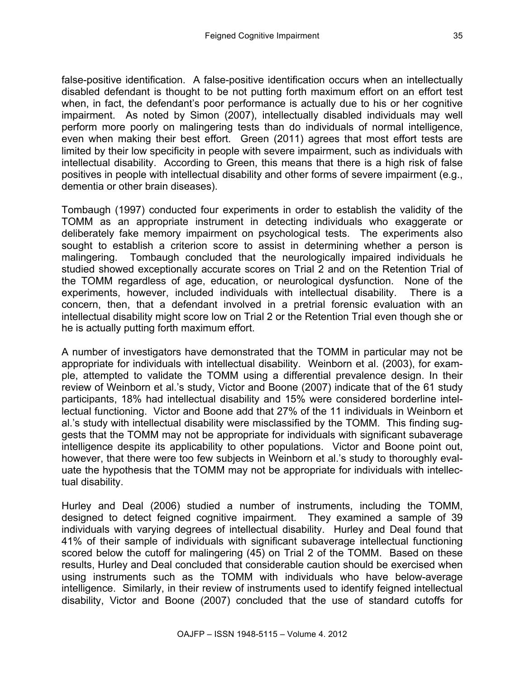false-positive identification. A false-positive identification occurs when an intellectually disabled defendant is thought to be not putting forth maximum effort on an effort test when, in fact, the defendant's poor performance is actually due to his or her cognitive impairment. As noted by Simon (2007), intellectually disabled individuals may well perform more poorly on malingering tests than do individuals of normal intelligence, even when making their best effort. Green (2011) agrees that most effort tests are limited by their low specificity in people with severe impairment, such as individuals with intellectual disability. According to Green, this means that there is a high risk of false positives in people with intellectual disability and other forms of severe impairment (e.g., dementia or other brain diseases).

Tombaugh (1997) conducted four experiments in order to establish the validity of the TOMM as an appropriate instrument in detecting individuals who exaggerate or deliberately fake memory impairment on psychological tests. The experiments also sought to establish a criterion score to assist in determining whether a person is malingering. Tombaugh concluded that the neurologically impaired individuals he studied showed exceptionally accurate scores on Trial 2 and on the Retention Trial of the TOMM regardless of age, education, or neurological dysfunction. None of the experiments, however, included individuals with intellectual disability. There is a concern, then, that a defendant involved in a pretrial forensic evaluation with an intellectual disability might score low on Trial 2 or the Retention Trial even though she or he is actually putting forth maximum effort.

A number of investigators have demonstrated that the TOMM in particular may not be appropriate for individuals with intellectual disability. Weinborn et al. (2003), for example, attempted to validate the TOMM using a differential prevalence design. In their review of Weinborn et al.'s study, Victor and Boone (2007) indicate that of the 61 study participants, 18% had intellectual disability and 15% were considered borderline intellectual functioning. Victor and Boone add that 27% of the 11 individuals in Weinborn et al.'s study with intellectual disability were misclassified by the TOMM. This finding suggests that the TOMM may not be appropriate for individuals with significant subaverage intelligence despite its applicability to other populations. Victor and Boone point out, however, that there were too few subjects in Weinborn et al.'s study to thoroughly evaluate the hypothesis that the TOMM may not be appropriate for individuals with intellectual disability.

Hurley and Deal (2006) studied a number of instruments, including the TOMM, designed to detect feigned cognitive impairment. They examined a sample of 39 individuals with varying degrees of intellectual disability. Hurley and Deal found that 41% of their sample of individuals with significant subaverage intellectual functioning scored below the cutoff for malingering (45) on Trial 2 of the TOMM. Based on these results, Hurley and Deal concluded that considerable caution should be exercised when using instruments such as the TOMM with individuals who have below-average intelligence. Similarly, in their review of instruments used to identify feigned intellectual disability, Victor and Boone (2007) concluded that the use of standard cutoffs for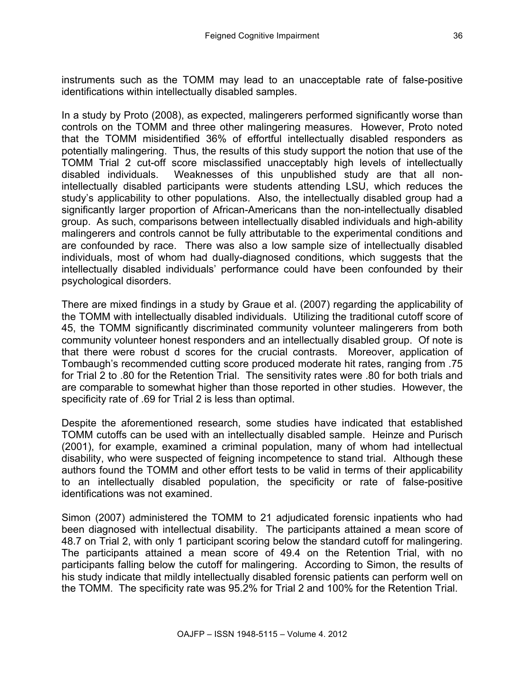instruments such as the TOMM may lead to an unacceptable rate of false-positive identifications within intellectually disabled samples.

In a study by Proto (2008), as expected, malingerers performed significantly worse than controls on the TOMM and three other malingering measures. However, Proto noted that the TOMM misidentified 36% of effortful intellectually disabled responders as potentially malingering. Thus, the results of this study support the notion that use of the TOMM Trial 2 cut-off score misclassified unacceptably high levels of intellectually disabled individuals. Weaknesses of this unpublished study are that all nonintellectually disabled participants were students attending LSU, which reduces the study's applicability to other populations. Also, the intellectually disabled group had a significantly larger proportion of African-Americans than the non-intellectually disabled group. As such, comparisons between intellectually disabled individuals and high-ability malingerers and controls cannot be fully attributable to the experimental conditions and are confounded by race. There was also a low sample size of intellectually disabled individuals, most of whom had dually-diagnosed conditions, which suggests that the intellectually disabled individuals' performance could have been confounded by their psychological disorders.

There are mixed findings in a study by Graue et al. (2007) regarding the applicability of the TOMM with intellectually disabled individuals. Utilizing the traditional cutoff score of 45, the TOMM significantly discriminated community volunteer malingerers from both community volunteer honest responders and an intellectually disabled group. Of note is that there were robust d scores for the crucial contrasts. Moreover, application of Tombaugh's recommended cutting score produced moderate hit rates, ranging from .75 for Trial 2 to .80 for the Retention Trial. The sensitivity rates were .80 for both trials and are comparable to somewhat higher than those reported in other studies. However, the specificity rate of .69 for Trial 2 is less than optimal.

Despite the aforementioned research, some studies have indicated that established TOMM cutoffs can be used with an intellectually disabled sample. Heinze and Purisch (2001), for example, examined a criminal population, many of whom had intellectual disability, who were suspected of feigning incompetence to stand trial. Although these authors found the TOMM and other effort tests to be valid in terms of their applicability to an intellectually disabled population, the specificity or rate of false-positive identifications was not examined.

Simon (2007) administered the TOMM to 21 adjudicated forensic inpatients who had been diagnosed with intellectual disability. The participants attained a mean score of 48.7 on Trial 2, with only 1 participant scoring below the standard cutoff for malingering. The participants attained a mean score of 49.4 on the Retention Trial, with no participants falling below the cutoff for malingering. According to Simon, the results of his study indicate that mildly intellectually disabled forensic patients can perform well on the TOMM. The specificity rate was 95.2% for Trial 2 and 100% for the Retention Trial.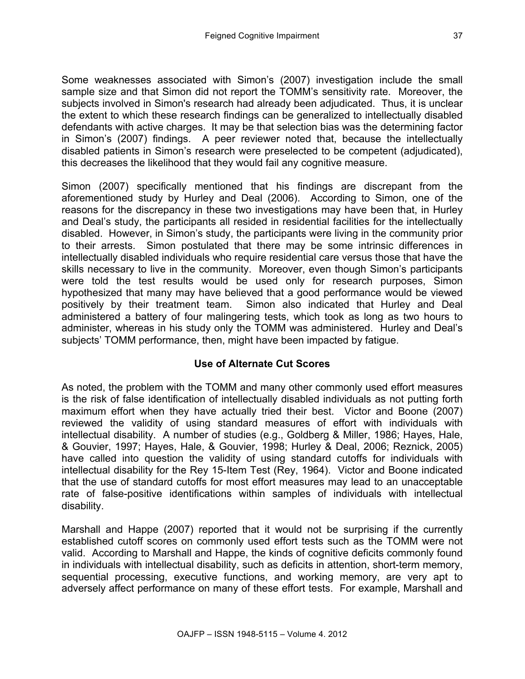Some weaknesses associated with Simon's (2007) investigation include the small sample size and that Simon did not report the TOMM's sensitivity rate. Moreover, the subjects involved in Simon's research had already been adjudicated. Thus, it is unclear the extent to which these research findings can be generalized to intellectually disabled defendants with active charges. It may be that selection bias was the determining factor in Simon's (2007) findings. A peer reviewer noted that, because the intellectually disabled patients in Simon's research were preselected to be competent (adjudicated), this decreases the likelihood that they would fail any cognitive measure.

Simon (2007) specifically mentioned that his findings are discrepant from the aforementioned study by Hurley and Deal (2006). According to Simon, one of the reasons for the discrepancy in these two investigations may have been that, in Hurley and Deal's study, the participants all resided in residential facilities for the intellectually disabled. However, in Simon's study, the participants were living in the community prior to their arrests. Simon postulated that there may be some intrinsic differences in intellectually disabled individuals who require residential care versus those that have the skills necessary to live in the community. Moreover, even though Simon's participants were told the test results would be used only for research purposes, Simon hypothesized that many may have believed that a good performance would be viewed positively by their treatment team. Simon also indicated that Hurley and Deal administered a battery of four malingering tests, which took as long as two hours to administer, whereas in his study only the TOMM was administered. Hurley and Deal's subjects' TOMM performance, then, might have been impacted by fatigue.

# **Use of Alternate Cut Scores**

As noted, the problem with the TOMM and many other commonly used effort measures is the risk of false identification of intellectually disabled individuals as not putting forth maximum effort when they have actually tried their best. Victor and Boone (2007) reviewed the validity of using standard measures of effort with individuals with intellectual disability. A number of studies (e.g., Goldberg & Miller, 1986; Hayes, Hale, & Gouvier, 1997; Hayes, Hale, & Gouvier, 1998; Hurley & Deal, 2006; Reznick, 2005) have called into question the validity of using standard cutoffs for individuals with intellectual disability for the Rey 15-Item Test (Rey, 1964). Victor and Boone indicated that the use of standard cutoffs for most effort measures may lead to an unacceptable rate of false-positive identifications within samples of individuals with intellectual disability.

Marshall and Happe (2007) reported that it would not be surprising if the currently established cutoff scores on commonly used effort tests such as the TOMM were not valid. According to Marshall and Happe, the kinds of cognitive deficits commonly found in individuals with intellectual disability, such as deficits in attention, short-term memory, sequential processing, executive functions, and working memory, are very apt to adversely affect performance on many of these effort tests. For example, Marshall and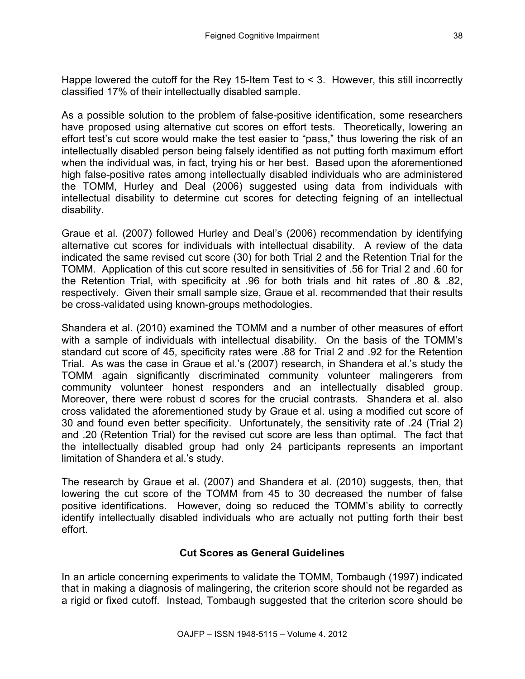Happe lowered the cutoff for the Rey 15-Item Test to < 3. However, this still incorrectly classified 17% of their intellectually disabled sample.

As a possible solution to the problem of false-positive identification, some researchers have proposed using alternative cut scores on effort tests. Theoretically, lowering an effort test's cut score would make the test easier to "pass," thus lowering the risk of an intellectually disabled person being falsely identified as not putting forth maximum effort when the individual was, in fact, trying his or her best. Based upon the aforementioned high false-positive rates among intellectually disabled individuals who are administered the TOMM, Hurley and Deal (2006) suggested using data from individuals with intellectual disability to determine cut scores for detecting feigning of an intellectual disability.

Graue et al. (2007) followed Hurley and Deal's (2006) recommendation by identifying alternative cut scores for individuals with intellectual disability. A review of the data indicated the same revised cut score (30) for both Trial 2 and the Retention Trial for the TOMM. Application of this cut score resulted in sensitivities of .56 for Trial 2 and .60 for the Retention Trial, with specificity at .96 for both trials and hit rates of .80 & .82, respectively. Given their small sample size, Graue et al. recommended that their results be cross-validated using known-groups methodologies.

Shandera et al. (2010) examined the TOMM and a number of other measures of effort with a sample of individuals with intellectual disability. On the basis of the TOMM's standard cut score of 45, specificity rates were .88 for Trial 2 and .92 for the Retention Trial. As was the case in Graue et al.'s (2007) research, in Shandera et al.'s study the TOMM again significantly discriminated community volunteer malingerers from community volunteer honest responders and an intellectually disabled group. Moreover, there were robust d scores for the crucial contrasts. Shandera et al. also cross validated the aforementioned study by Graue et al. using a modified cut score of 30 and found even better specificity. Unfortunately, the sensitivity rate of .24 (Trial 2) and .20 (Retention Trial) for the revised cut score are less than optimal. The fact that the intellectually disabled group had only 24 participants represents an important limitation of Shandera et al.'s study.

The research by Graue et al. (2007) and Shandera et al. (2010) suggests, then, that lowering the cut score of the TOMM from 45 to 30 decreased the number of false positive identifications. However, doing so reduced the TOMM's ability to correctly identify intellectually disabled individuals who are actually not putting forth their best effort.

# **Cut Scores as General Guidelines**

In an article concerning experiments to validate the TOMM, Tombaugh (1997) indicated that in making a diagnosis of malingering, the criterion score should not be regarded as a rigid or fixed cutoff. Instead, Tombaugh suggested that the criterion score should be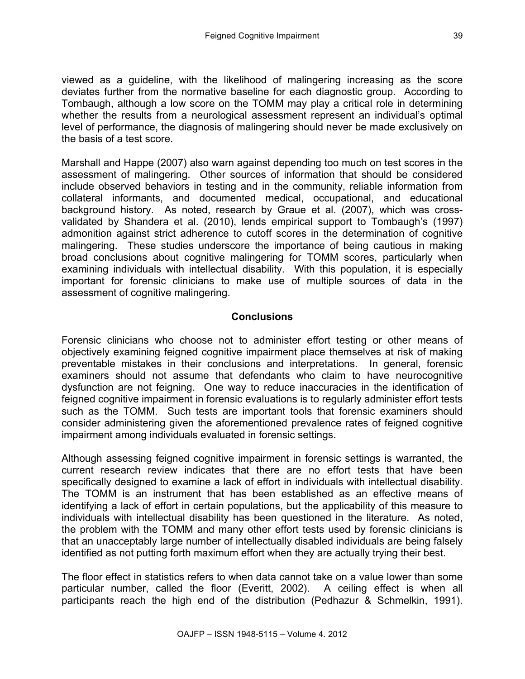viewed as a guideline, with the likelihood of malingering increasing as the score deviates further from the normative baseline for each diagnostic group. According to Tombaugh, although a low score on the TOMM may play a critical role in determining whether the results from a neurological assessment represent an individual's optimal level of performance, the diagnosis of malingering should never be made exclusively on the basis of a test score.

Marshall and Happe (2007) also warn against depending too much on test scores in the assessment of malingering. Other sources of information that should be considered include observed behaviors in testing and in the community, reliable information from collateral informants, and documented medical, occupational, and educational background history. As noted, research by Graue et al. (2007), which was crossvalidated by Shandera et al. (2010), lends empirical support to Tombaugh's (1997) admonition against strict adherence to cutoff scores in the determination of cognitive malingering. These studies underscore the importance of being cautious in making broad conclusions about cognitive malingering for TOMM scores, particularly when examining individuals with intellectual disability. With this population, it is especially important for forensic clinicians to make use of multiple sources of data in the assessment of cognitive malingering.

## **Conclusions**

Forensic clinicians who choose not to administer effort testing or other means of objectively examining feigned cognitive impairment place themselves at risk of making preventable mistakes in their conclusions and interpretations. In general, forensic examiners should not assume that defendants who claim to have neurocognitive dysfunction are not feigning. One way to reduce inaccuracies in the identification of feigned cognitive impairment in forensic evaluations is to regularly administer effort tests such as the TOMM. Such tests are important tools that forensic examiners should consider administering given the aforementioned prevalence rates of feigned cognitive impairment among individuals evaluated in forensic settings.

Although assessing feigned cognitive impairment in forensic settings is warranted, the current research review indicates that there are no effort tests that have been specifically designed to examine a lack of effort in individuals with intellectual disability. The TOMM is an instrument that has been established as an effective means of identifying a lack of effort in certain populations, but the applicability of this measure to individuals with intellectual disability has been questioned in the literature. As noted, the problem with the TOMM and many other effort tests used by forensic clinicians is that an unacceptably large number of intellectually disabled individuals are being falsely identified as not putting forth maximum effort when they are actually trying their best.

The floor effect in statistics refers to when data cannot take on a value lower than some particular number, called the floor (Everitt, 2002). A ceiling effect is when all participants reach the high end of the distribution (Pedhazur & Schmelkin, 1991).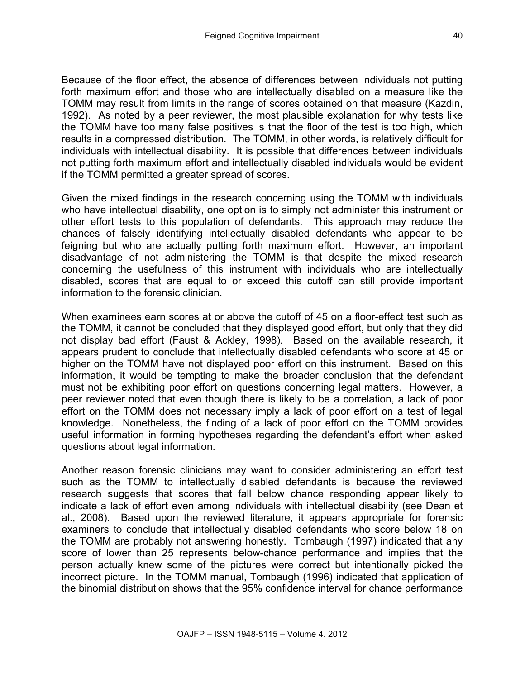Because of the floor effect, the absence of differences between individuals not putting forth maximum effort and those who are intellectually disabled on a measure like the TOMM may result from limits in the range of scores obtained on that measure (Kazdin, 1992). As noted by a peer reviewer, the most plausible explanation for why tests like the TOMM have too many false positives is that the floor of the test is too high, which results in a compressed distribution. The TOMM, in other words, is relatively difficult for individuals with intellectual disability. It is possible that differences between individuals not putting forth maximum effort and intellectually disabled individuals would be evident if the TOMM permitted a greater spread of scores.

Given the mixed findings in the research concerning using the TOMM with individuals who have intellectual disability, one option is to simply not administer this instrument or other effort tests to this population of defendants. This approach may reduce the chances of falsely identifying intellectually disabled defendants who appear to be feigning but who are actually putting forth maximum effort. However, an important disadvantage of not administering the TOMM is that despite the mixed research concerning the usefulness of this instrument with individuals who are intellectually disabled, scores that are equal to or exceed this cutoff can still provide important information to the forensic clinician.

When examinees earn scores at or above the cutoff of 45 on a floor-effect test such as the TOMM, it cannot be concluded that they displayed good effort, but only that they did not display bad effort (Faust & Ackley, 1998). Based on the available research, it appears prudent to conclude that intellectually disabled defendants who score at 45 or higher on the TOMM have not displayed poor effort on this instrument. Based on this information, it would be tempting to make the broader conclusion that the defendant must not be exhibiting poor effort on questions concerning legal matters. However, a peer reviewer noted that even though there is likely to be a correlation, a lack of poor effort on the TOMM does not necessary imply a lack of poor effort on a test of legal knowledge. Nonetheless, the finding of a lack of poor effort on the TOMM provides useful information in forming hypotheses regarding the defendant's effort when asked questions about legal information.

Another reason forensic clinicians may want to consider administering an effort test such as the TOMM to intellectually disabled defendants is because the reviewed research suggests that scores that fall below chance responding appear likely to indicate a lack of effort even among individuals with intellectual disability (see Dean et al., 2008). Based upon the reviewed literature, it appears appropriate for forensic examiners to conclude that intellectually disabled defendants who score below 18 on the TOMM are probably not answering honestly. Tombaugh (1997) indicated that any score of lower than 25 represents below-chance performance and implies that the person actually knew some of the pictures were correct but intentionally picked the incorrect picture. In the TOMM manual, Tombaugh (1996) indicated that application of the binomial distribution shows that the 95% confidence interval for chance performance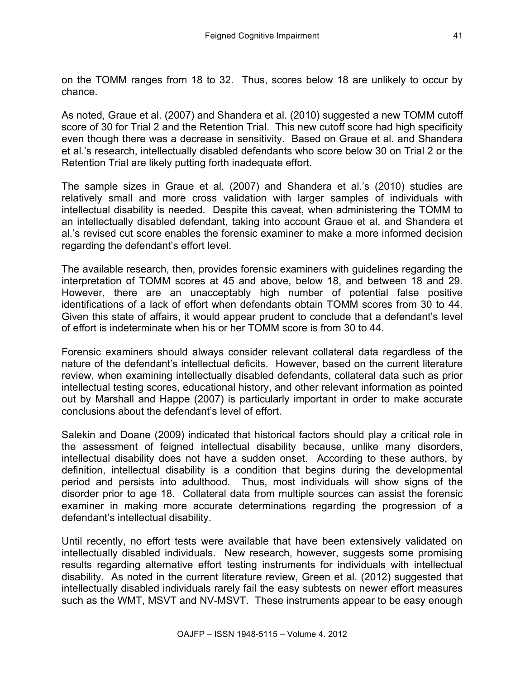on the TOMM ranges from 18 to 32. Thus, scores below 18 are unlikely to occur by chance.

As noted, Graue et al. (2007) and Shandera et al. (2010) suggested a new TOMM cutoff score of 30 for Trial 2 and the Retention Trial. This new cutoff score had high specificity even though there was a decrease in sensitivity. Based on Graue et al. and Shandera et al.'s research, intellectually disabled defendants who score below 30 on Trial 2 or the Retention Trial are likely putting forth inadequate effort.

The sample sizes in Graue et al. (2007) and Shandera et al.'s (2010) studies are relatively small and more cross validation with larger samples of individuals with intellectual disability is needed. Despite this caveat, when administering the TOMM to an intellectually disabled defendant, taking into account Graue et al. and Shandera et al.'s revised cut score enables the forensic examiner to make a more informed decision regarding the defendant's effort level.

The available research, then, provides forensic examiners with guidelines regarding the interpretation of TOMM scores at 45 and above, below 18, and between 18 and 29. However, there are an unacceptably high number of potential false positive identifications of a lack of effort when defendants obtain TOMM scores from 30 to 44. Given this state of affairs, it would appear prudent to conclude that a defendant's level of effort is indeterminate when his or her TOMM score is from 30 to 44.

Forensic examiners should always consider relevant collateral data regardless of the nature of the defendant's intellectual deficits. However, based on the current literature review, when examining intellectually disabled defendants, collateral data such as prior intellectual testing scores, educational history, and other relevant information as pointed out by Marshall and Happe (2007) is particularly important in order to make accurate conclusions about the defendant's level of effort.

Salekin and Doane (2009) indicated that historical factors should play a critical role in the assessment of feigned intellectual disability because, unlike many disorders, intellectual disability does not have a sudden onset. According to these authors, by definition, intellectual disability is a condition that begins during the developmental period and persists into adulthood. Thus, most individuals will show signs of the disorder prior to age 18. Collateral data from multiple sources can assist the forensic examiner in making more accurate determinations regarding the progression of a defendant's intellectual disability.

Until recently, no effort tests were available that have been extensively validated on intellectually disabled individuals. New research, however, suggests some promising results regarding alternative effort testing instruments for individuals with intellectual disability. As noted in the current literature review, Green et al. (2012) suggested that intellectually disabled individuals rarely fail the easy subtests on newer effort measures such as the WMT, MSVT and NV-MSVT. These instruments appear to be easy enough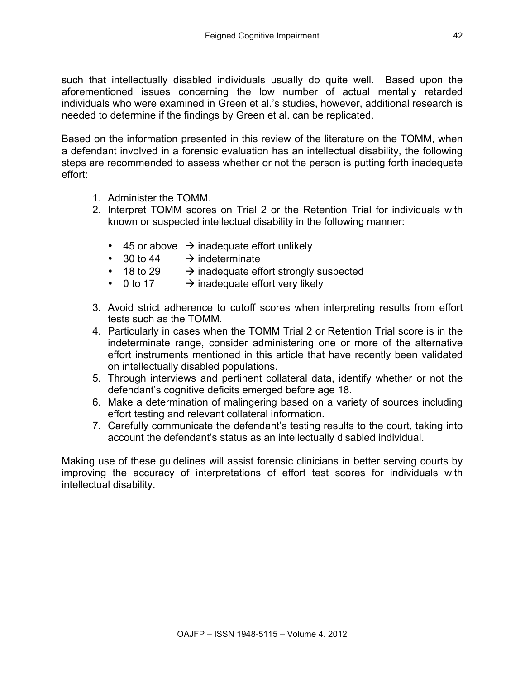such that intellectually disabled individuals usually do quite well. Based upon the aforementioned issues concerning the low number of actual mentally retarded individuals who were examined in Green et al.'s studies, however, additional research is needed to determine if the findings by Green et al. can be replicated.

Based on the information presented in this review of the literature on the TOMM, when a defendant involved in a forensic evaluation has an intellectual disability, the following steps are recommended to assess whether or not the person is putting forth inadequate effort:

- 1. Administer the TOMM.
- 2. Interpret TOMM scores on Trial 2 or the Retention Trial for individuals with known or suspected intellectual disability in the following manner:
	- 45 or above  $\rightarrow$  inadequate effort unlikely
	- 30 to 44  $\rightarrow$  indeterminate
	- 18 to 29  $\rightarrow$  inadequate effort strongly suspected<br>• 0 to 17  $\rightarrow$  inadequate effort very likely
	- $\rightarrow$  inadequate effort very likely
- 3. Avoid strict adherence to cutoff scores when interpreting results from effort tests such as the TOMM.
- 4. Particularly in cases when the TOMM Trial 2 or Retention Trial score is in the indeterminate range, consider administering one or more of the alternative effort instruments mentioned in this article that have recently been validated on intellectually disabled populations.
- 5. Through interviews and pertinent collateral data, identify whether or not the defendant's cognitive deficits emerged before age 18.
- 6. Make a determination of malingering based on a variety of sources including effort testing and relevant collateral information.
- 7. Carefully communicate the defendant's testing results to the court, taking into account the defendant's status as an intellectually disabled individual.

Making use of these guidelines will assist forensic clinicians in better serving courts by improving the accuracy of interpretations of effort test scores for individuals with intellectual disability.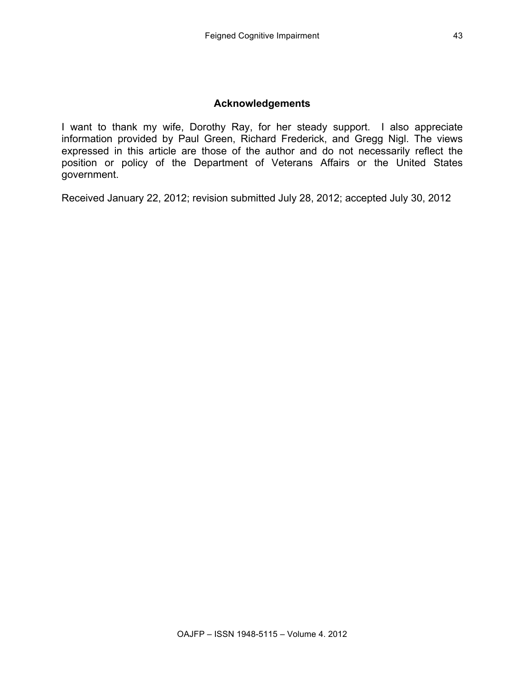#### **Acknowledgements**

I want to thank my wife, Dorothy Ray, for her steady support. I also appreciate information provided by Paul Green, Richard Frederick, and Gregg Nigl. The views expressed in this article are those of the author and do not necessarily reflect the position or policy of the Department of Veterans Affairs or the United States government.

Received January 22, 2012; revision submitted July 28, 2012; accepted July 30, 2012

43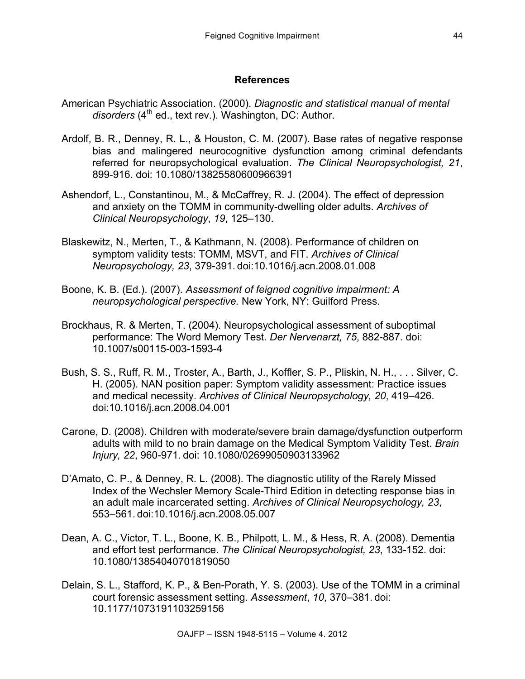## **References**

- American Psychiatric Association. (2000). *Diagnostic and statistical manual of mental*  disorders (4<sup>th</sup> ed., text rev.). Washington, DC: Author.
- Ardolf, B. R., Denney, R. L., & Houston, C. M. (2007). Base rates of negative response bias and malingered neurocognitive dysfunction among criminal defendants referred for neuropsychological evaluation. *The Clinical Neuropsychologist, 21*, 899-916. doi: 10.1080/13825580600966391
- Ashendorf, L., Constantinou, M., & McCaffrey, R. J. (2004). The effect of depression and anxiety on the TOMM in community-dwelling older adults. *Archives of Clinical Neuropsychology*, *19*, 125–130.
- Blaskewitz, N., Merten, T., & Kathmann, N. (2008). Performance of children on symptom validity tests: TOMM, MSVT, and FIT. *Archives of Clinical Neuropsychology, 23*, 379-391. doi:10.1016/j.acn.2008.01.008
- Boone, K. B. (Ed.). (2007). *Assessment of feigned cognitive impairment: A neuropsychological perspective.* New York, NY: Guilford Press.
- Brockhaus, R. & Merten, T. (2004). Neuropsychological assessment of suboptimal performance: The Word Memory Test. *Der Nervenarzt, 75*, 882-887. doi: 10.1007/s00115-003-1593-4
- Bush, S. S., Ruff, R. M., Troster, A., Barth, J., Koffler, S. P., Pliskin, N. H., . . . Silver, C. H. (2005). NAN position paper: Symptom validity assessment: Practice issues and medical necessity. *Archives of Clinical Neuropsychology, 20*, 419–426. doi:10.1016/j.acn.2008.04.001
- Carone, D. (2008). Children with moderate/severe brain damage/dysfunction outperform adults with mild to no brain damage on the Medical Symptom Validity Test. *Brain Injury, 22*, 960-971. doi: 10.1080/02699050903133962
- D'Amato, C. P., & Denney, R. L. (2008). The diagnostic utility of the Rarely Missed Index of the Wechsler Memory Scale-Third Edition in detecting response bias in an adult male incarcerated setting. *Archives of Clinical Neuropsychology, 23*, 553–561. doi:10.1016/j.acn.2008.05.007
- Dean, A. C., Victor, T. L., Boone, K. B., Philpott, L. M., & Hess, R. A. (2008). Dementia and effort test performance. *The Clinical Neuropsychologist, 23*, 133-152. doi: 10.1080/13854040701819050
- Delain, S. L., Stafford, K. P., & Ben-Porath, Y. S. (2003). Use of the TOMM in a criminal court forensic assessment setting. *Assessment*, *10*, 370–381. doi: 10.1177/1073191103259156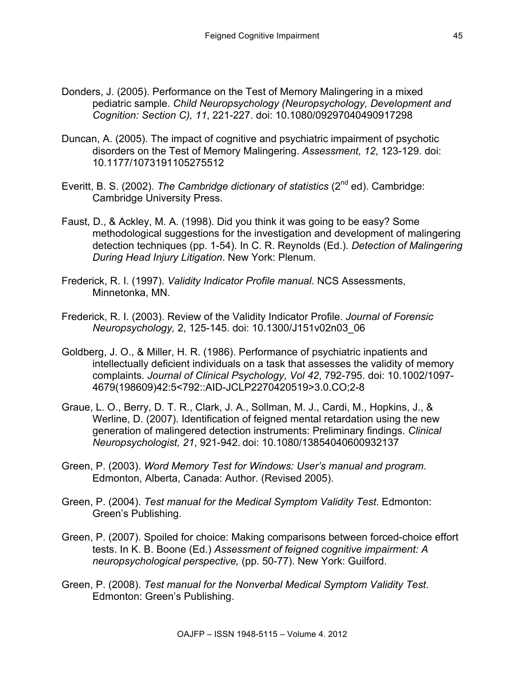- Donders, J. (2005). Performance on the Test of Memory Malingering in a mixed pediatric sample. *Child Neuropsychology (Neuropsychology, Development and Cognition: Section C), 11*, 221-227. doi: 10.1080/09297040490917298
- Duncan, A. (2005). The impact of cognitive and psychiatric impairment of psychotic disorders on the Test of Memory Malingering. *Assessment, 12*, 123-129. doi: 10.1177/1073191105275512
- Everitt, B. S. (2002). *The Cambridge dictionary of statistics* (2nd ed). Cambridge: Cambridge University Press.
- Faust, D., & Ackley, M. A. (1998). Did you think it was going to be easy? Some methodological suggestions for the investigation and development of malingering detection techniques (pp. 1-54). In C. R. Reynolds (Ed.). *Detection of Malingering During Head Injury Litigation*. New York: Plenum.
- Frederick, R. I. (1997). *Validity Indicator Profile manual*. NCS Assessments, Minnetonka, MN.
- Frederick, R. I. (2003). Review of the Validity Indicator Profile. *Journal of Forensic Neuropsychology,* 2, 125-145. doi: 10.1300/J151v02n03\_06
- Goldberg, J. O., & Miller, H. R. (1986). Performance of psychiatric inpatients and intellectually deficient individuals on a task that assesses the validity of memory complaints. *Journal of Clinical Psychology, Vol 42*, 792-795. doi: 10.1002/1097- 4679(198609)42:5<792::AID-JCLP2270420519>3.0.CO;2-8
- Graue, L. O., Berry, D. T. R., Clark, J. A., Sollman, M. J., Cardi, M., Hopkins, J., & Werline, D. (2007). Identification of feigned mental retardation using the new generation of malingered detection instruments: Preliminary findings. *Clinical Neuropsychologist, 21*, 921-942. doi: 10.1080/13854040600932137
- Green, P. (2003). *Word Memory Test for Windows: User's manual and program*. Edmonton, Alberta, Canada: Author. (Revised 2005).
- Green, P. (2004). *Test manual for the Medical Symptom Validity Test*. Edmonton: Green's Publishing.
- Green, P. (2007). Spoiled for choice: Making comparisons between forced-choice effort tests. In K. B. Boone (Ed.) *Assessment of feigned cognitive impairment: A neuropsychological perspective,* (pp. 50-77). New York: Guilford.
- Green, P. (2008). *Test manual for the Nonverbal Medical Symptom Validity Test*. Edmonton: Green's Publishing.

45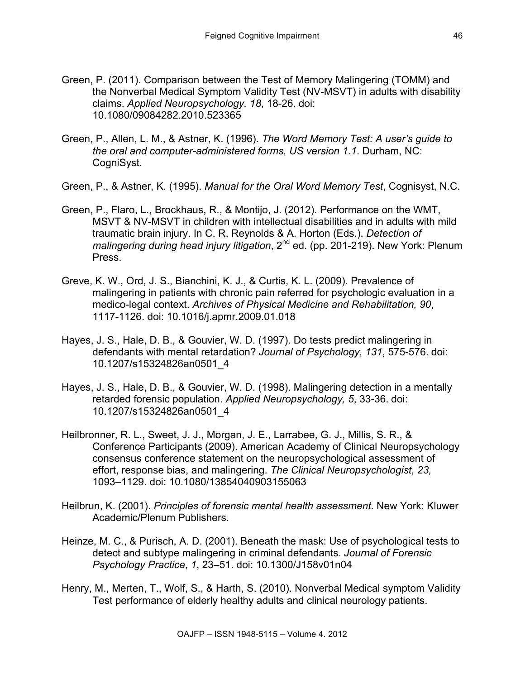- Green, P. (2011). Comparison between the Test of Memory Malingering (TOMM) and the Nonverbal Medical Symptom Validity Test (NV-MSVT) in adults with disability claims. *Applied Neuropsychology, 18*, 18-26. doi: 10.1080/09084282.2010.523365
- Green, P., Allen, L. M., & Astner, K. (1996). *The Word Memory Test: A user's guide to the oral and computer-administered forms, US version 1.1*. Durham, NC: CogniSyst.
- Green, P., & Astner, K. (1995). *Manual for the Oral Word Memory Test*, Cognisyst, N.C.
- Green, P., Flaro, L., Brockhaus, R., & Montijo, J. (2012). Performance on the WMT, MSVT & NV-MSVT in children with intellectual disabilities and in adults with mild traumatic brain injury. In C. R. Reynolds & A. Horton (Eds.). *Detection of malingering during head injury litigation*, 2<sup>nd</sup> ed. (pp. 201-219). New York: Plenum Press.
- Greve, K. W., Ord, J. S., Bianchini, K. J., & Curtis, K. L. (2009). Prevalence of malingering in patients with chronic pain referred for psychologic evaluation in a medico-legal context. *Archives of Physical Medicine and Rehabilitation, 90*, 1117-1126. doi: 10.1016/j.apmr.2009.01.018
- Hayes, J. S., Hale, D. B., & Gouvier, W. D. (1997). Do tests predict malingering in defendants with mental retardation? *Journal of Psychology, 131*, 575-576. doi: 10.1207/s15324826an0501\_4
- Hayes, J. S., Hale, D. B., & Gouvier, W. D. (1998). Malingering detection in a mentally retarded forensic population. *Applied Neuropsychology, 5*, 33-36. doi: 10.1207/s15324826an0501\_4
- Heilbronner, R. L., Sweet, J. J., Morgan, J. E., Larrabee, G. J., Millis, S. R., & Conference Participants (2009). American Academy of Clinical Neuropsychology consensus conference statement on the neuropsychological assessment of effort, response bias, and malingering. *The Clinical Neuropsychologist, 23,* 1093–1129. doi: 10.1080/13854040903155063
- Heilbrun, K. (2001). *Principles of forensic mental health assessment*. New York: Kluwer Academic/Plenum Publishers.
- Heinze, M. C., & Purisch, A. D. (2001). Beneath the mask: Use of psychological tests to detect and subtype malingering in criminal defendants. *Journal of Forensic Psychology Practice*, *1*, 23–51. doi: 10.1300/J158v01n04
- Henry, M., Merten, T., Wolf, S., & Harth, S. (2010). Nonverbal Medical symptom Validity Test performance of elderly healthy adults and clinical neurology patients.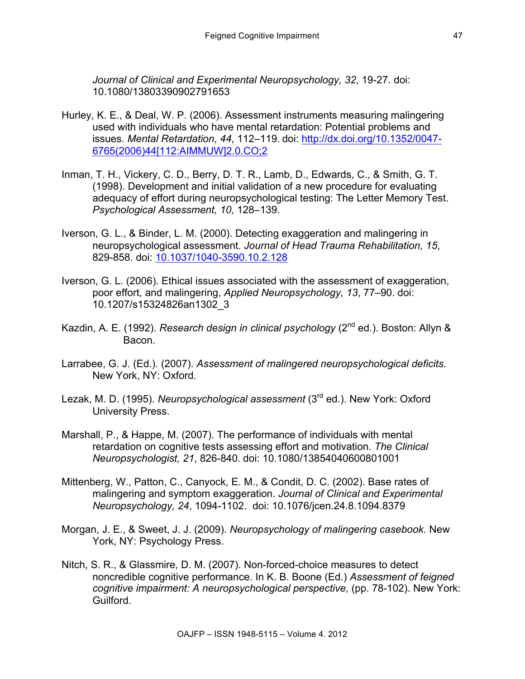*Journal of Clinical and Experimental Neuropsychology, 32*, 19-27. doi: 10.1080/13803390902791653

- Hurley, K. E., & Deal, W. P. (2006). Assessment instruments measuring malingering used with individuals who have mental retardation: Potential problems and issues. *Mental Retardation, 44*, 112–119. doi: http://dx.doi.org/10.1352/0047- 6765(2006)44[112:AIMMUW]2.0.CO;2
- Inman, T. H., Vickery, C. D., Berry, D. T. R., Lamb, D., Edwards, C., & Smith, G. T. (1998). Development and initial validation of a new procedure for evaluating adequacy of effort during neuropsychological testing: The Letter Memory Test. *Psychological Assessment, 10,* 128–139.
- Iverson, G. L., & Binder, L. M. (2000). Detecting exaggeration and malingering in neuropsychological assessment. *Journal of Head Trauma Rehabilitation, 15*, 829-858. doi: 10.1037/1040-3590.10.2.128
- Iverson, G. L. (2006). Ethical issues associated with the assessment of exaggeration, poor effort, and malingering, *Applied Neuropsychology, 13*, 77–90. doi: 10.1207/s15324826an1302\_3
- Kazdin, A. E. (1992). *Research design in clinical psychology* (2<sup>nd</sup> ed.). Boston: Allyn & Bacon.
- Larrabee, G. J. (Ed.). (2007). *Assessment of malingered neuropsychological deficits.*  New York, NY: Oxford.
- Lezak, M. D. (1995). *Neuropsychological assessment* (3rd ed.). New York: Oxford University Press.
- Marshall, P., & Happe, M. (2007). The performance of individuals with mental retardation on cognitive tests assessing effort and motivation. *The Clinical Neuropsychologist, 21*, 826-840. doi: 10.1080/13854040600801001
- Mittenberg, W., Patton, C., Canyock, E. M., & Condit, D. C. (2002). Base rates of malingering and symptom exaggeration. *Journal of Clinical and Experimental Neuropsychology, 24*, 1094-1102. doi: 10.1076/jcen.24.8.1094.8379
- Morgan, J. E., & Sweet, J. J. (2009). *Neuropsychology of malingering casebook.* New York, NY: Psychology Press.
- Nitch, S. R., & Glassmire, D. M. (2007). Non-forced-choice measures to detect noncredible cognitive performance. In K. B. Boone (Ed.) *Assessment of feigned cognitive impairment: A neuropsychological perspective,* (pp. 78-102). New York: Guilford.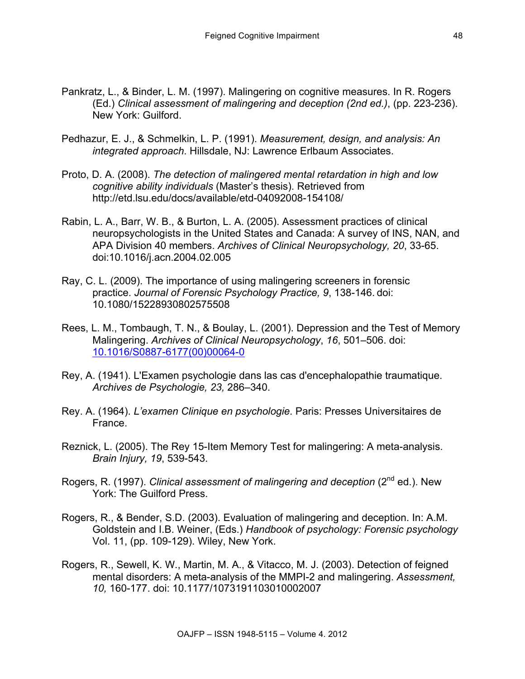- Pankratz, L., & Binder, L. M. (1997). Malingering on cognitive measures. In R. Rogers (Ed.) *Clinical assessment of malingering and deception (2nd ed.)*, (pp. 223-236). New York: Guilford.
- Pedhazur, E. J., & Schmelkin, L. P. (1991). *Measurement, design, and analysis: An integrated approach*. Hillsdale, NJ: Lawrence Erlbaum Associates.
- Proto, D. A. (2008). *The detection of malingered mental retardation in high and low cognitive ability individuals* (Master's thesis). Retrieved from http://etd.lsu.edu/docs/available/etd-04092008-154108/
- Rabin, L. A., Barr, W. B., & Burton, L. A. (2005). Assessment practices of clinical neuropsychologists in the United States and Canada: A survey of INS, NAN, and APA Division 40 members. *Archives of Clinical Neuropsychology, 20*, 33-65. doi:10.1016/j.acn.2004.02.005
- Ray, C. L. (2009). The importance of using malingering screeners in forensic practice. *Journal of Forensic Psychology Practice, 9*, 138-146. doi: 10.1080/15228930802575508
- Rees, L. M., Tombaugh, T. N., & Boulay, L. (2001). Depression and the Test of Memory Malingering. *Archives of Clinical Neuropsychology*, *16*, 501–506. doi: 10.1016/S0887-6177(00)00064-0
- Rey, A. (1941). L'Examen psychologie dans las cas d'encephalopathie traumatique. *Archives de Psychologie, 23,* 286–340.
- Rey. A. (1964). *L'examen Clinique en psychologie*. Paris: Presses Universitaires de France.
- Reznick, L. (2005). The Rey 15-Item Memory Test for malingering: A meta-analysis. *Brain Injury, 19*, 539-543.
- Rogers, R. (1997). *Clinical assessment of malingering and deception* (2<sup>nd</sup> ed.). New York: The Guilford Press.
- Rogers, R., & Bender, S.D. (2003). Evaluation of malingering and deception. In: A.M. Goldstein and I.B. Weiner, (Eds.) *Handbook of psychology: Forensic psychology* Vol. 11, (pp. 109-129). Wiley, New York.
- Rogers, R., Sewell, K. W., Martin, M. A., & Vitacco, M. J. (2003). Detection of feigned mental disorders: A meta-analysis of the MMPI-2 and malingering. *Assessment, 10,* 160-177. doi: 10.1177/1073191103010002007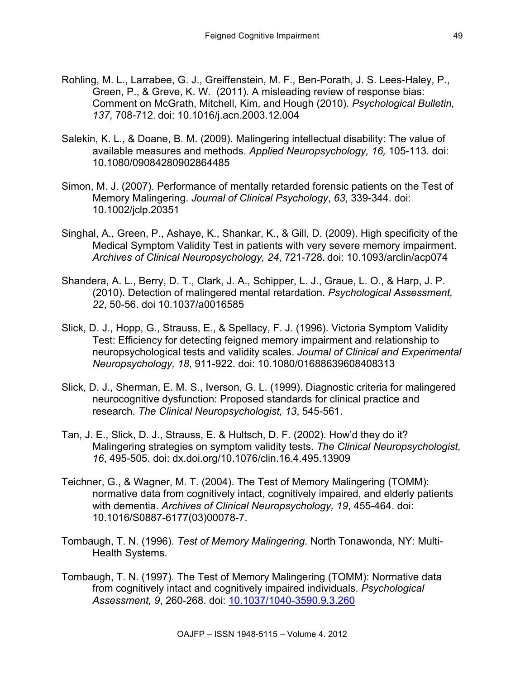- Rohling, M. L., Larrabee, G. J., Greiffenstein, M. F., Ben-Porath, J. S. Lees-Haley, P., Green, P., & Greve, K. W. (2011). A misleading review of response bias: Comment on McGrath, Mitchell, Kim, and Hough (2010)*. Psychological Bulletin, 137*, 708-712. doi: 10.1016/j.acn.2003.12.004
- Salekin, K. L., & Doane, B. M. (2009). Malingering intellectual disability: The value of available measures and methods. *Applied Neuropsychology, 16,* 105-113. doi: 10.1080/09084280902864485
- Simon, M. J. (2007). Performance of mentally retarded forensic patients on the Test of Memory Malingering. *Journal of Clinical Psychology*, *63*, 339-344. doi: 10.1002/jclp.20351
- Singhal, A., Green, P., Ashaye, K., Shankar, K., & Gill, D. (2009). High specificity of the Medical Symptom Validity Test in patients with very severe memory impairment. *Archives of Clinical Neuropsychology, 24*, 721-728. doi: 10.1093/arclin/acp074
- Shandera, A. L., Berry, D. T., Clark, J. A., Schipper, L. J., Graue, L. O., & Harp, J. P. (2010). Detection of malingered mental retardation. *Psychological Assessment, 22*, 50-56. doi 10.1037/a0016585
- Slick, D. J., Hopp, G., Strauss, E., & Spellacy, F. J. (1996). Victoria Symptom Validity Test: Efficiency for detecting feigned memory impairment and relationship to neuropsychological tests and validity scales. *Journal of Clinical and Experimental Neuropsychology, 18*, 911-922. doi: 10.1080/01688639608408313
- Slick, D. J., Sherman, E. M. S., Iverson, G. L. (1999). Diagnostic criteria for malingered neurocognitive dysfunction: Proposed standards for clinical practice and research. *The Clinical Neuropsychologist, 13*, 545-561.
- Tan, J. E., Slick, D. J., Strauss, E. & Hultsch, D. F. (2002). How'd they do it? Malingering strategies on symptom validity tests. *The Clinical Neuropsychologist, 16*, 495-505. doi: dx.doi.org/10.1076/clin.16.4.495.13909
- Teichner, G., & Wagner, M. T. (2004). The Test of Memory Malingering (TOMM): normative data from cognitively intact, cognitively impaired, and elderly patients with dementia. *Archives of Clinical Neuropsychology, 19*, 455-464. doi: 10.1016/S0887-6177(03)00078-7.
- Tombaugh, T. N. (1996). *Test of Memory Malingering*. North Tonawonda, NY: Multi-Health Systems.
- Tombaugh, T. N. (1997). The Test of Memory Malingering (TOMM): Normative data from cognitively intact and cognitively impaired individuals. *Psychological Assessment, 9*, 260-268. doi: 10.1037/1040-3590.9.3.260